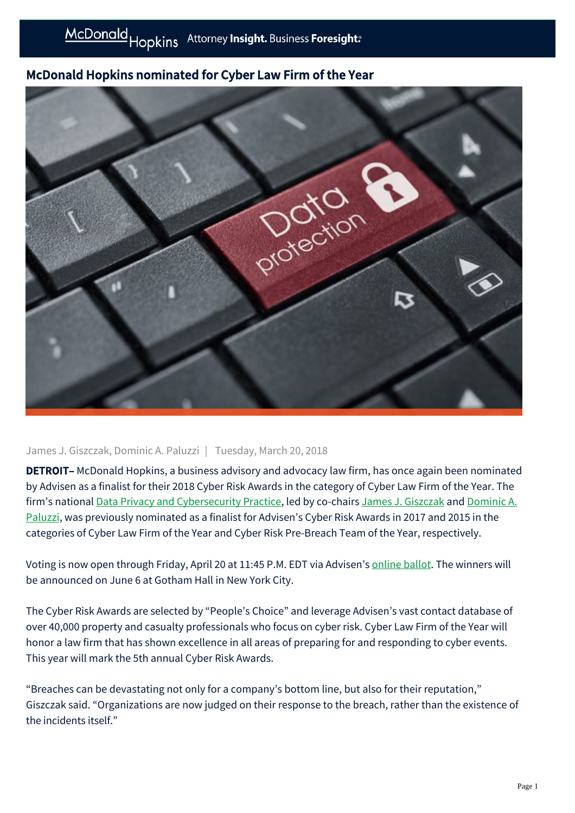## McDonald Hopkins nominated for Cyber Law Firm of the Year



## James J. Giszczak, Dominic A. Paluzzi | Tuesday, March 20, 2018

DETROIT– McDonald Hopkins, a business advisory and advocacy law firm, has once again been nominated by Advisen as a finalist for their 2018 Cyber Risk Awards in the category of Cyber Law Firm of the Year. The [firm's national D](https://mcdonaldhopkins.com/link.aspx?_id=84FA806660B8416BA907CD88D5E49B8B&_z=z)[ata Privacy and Cybersecurity Practic](https://mcdonaldhopkins.com/link.aspx?_id=DD3F0B8A363A44B7A6F39835CB908E7F&_z=z)[e, led by co-chairs](https://mcdonaldhopkins.com/link.aspx?_id=84FA806660B8416BA907CD88D5E49B8B&_z=z) [James J. Giszczak](https://mcdonaldhopkins.com/link.aspx?_id=E672EA7A3370424E9D7A019D81815D89&_z=z) [and Dominic A.](https://mcdonaldhopkins.com/link.aspx?_id=84FA806660B8416BA907CD88D5E49B8B&_z=z) Paluzzi, was previously nominated as a finalist for Advisen's Cyber Risk Awards in 2017 and 2015 in the categories of Cyber Law Firm of the Year and Cyber Risk Pre-Breach Team of the Year, respectively.

Voting is now open through Friday, April 20 at 11:45 P.M. EDT via Advisen's [online ballot.](https://in.advisenltd.com/2018-cyber-risk-awards-voting/) The winners will be announced on June 6 at Gotham Hall in New York City.

The Cyber Risk Awards are selected by "People's Choice" and leverage Advisen's vast contact database of over 40,000 property and casualty professionals who focus on cyber risk. Cyber Law Firm of the Year will honor a law firm that has shown excellence in all areas of preparing for and responding to cyber events. This year will mark the 5th annual Cyber Risk Awards.

"Breaches can be devastating not only for a company's bottom line, but also for their reputation," Giszczak said. "Organizations are now judged on their response to the breach, rather than the existence of the incidents itself."